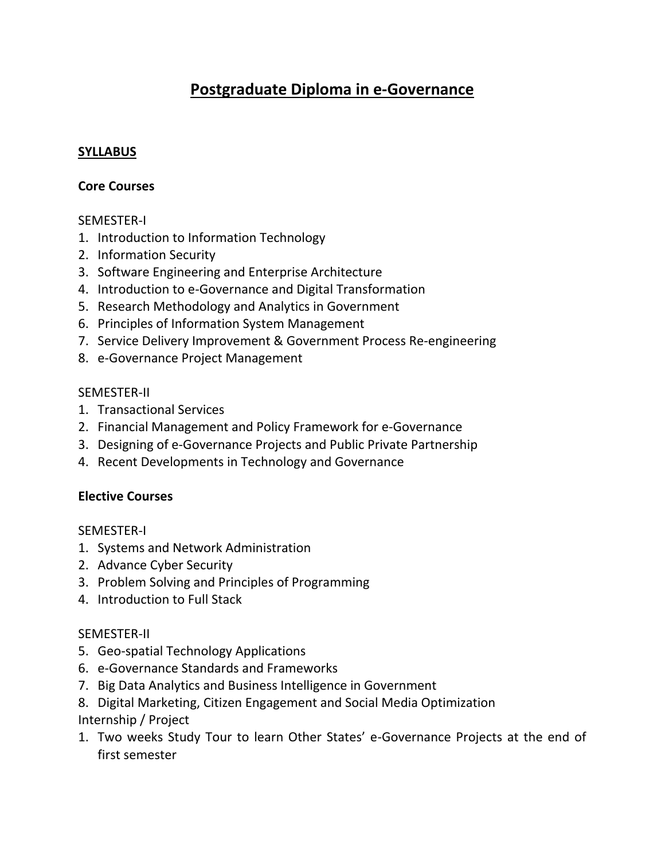# **Postgraduate Diploma in e-Governance**

#### **SYLLABUS**

#### **Core Courses**

#### SEMESTER-I

- 1. Introduction to Information Technology
- 2. Information Security
- 3. Software Engineering and Enterprise Architecture
- 4. Introduction to e-Governance and Digital Transformation
- 5. Research Methodology and Analytics in Government
- 6. Principles of Information System Management
- 7. Service Delivery Improvement & Government Process Re-engineering
- 8. e-Governance Project Management

#### SEMESTER-II

- 1. Transactional Services
- 2. Financial Management and Policy Framework for e-Governance
- 3. Designing of e-Governance Projects and Public Private Partnership
- 4. Recent Developments in Technology and Governance

## **Elective Courses**

## SEMESTER-I

- 1. Systems and Network Administration
- 2. Advance Cyber Security
- 3. Problem Solving and Principles of Programming
- 4. Introduction to Full Stack

## SEMESTER-II

- 5. Geo-spatial Technology Applications
- 6. e-Governance Standards and Frameworks
- 7. Big Data Analytics and Business Intelligence in Government
- 8. Digital Marketing, Citizen Engagement and Social Media Optimization Internship / Project
- 1. Two weeks Study Tour to learn Other States' e-Governance Projects at the end of first semester